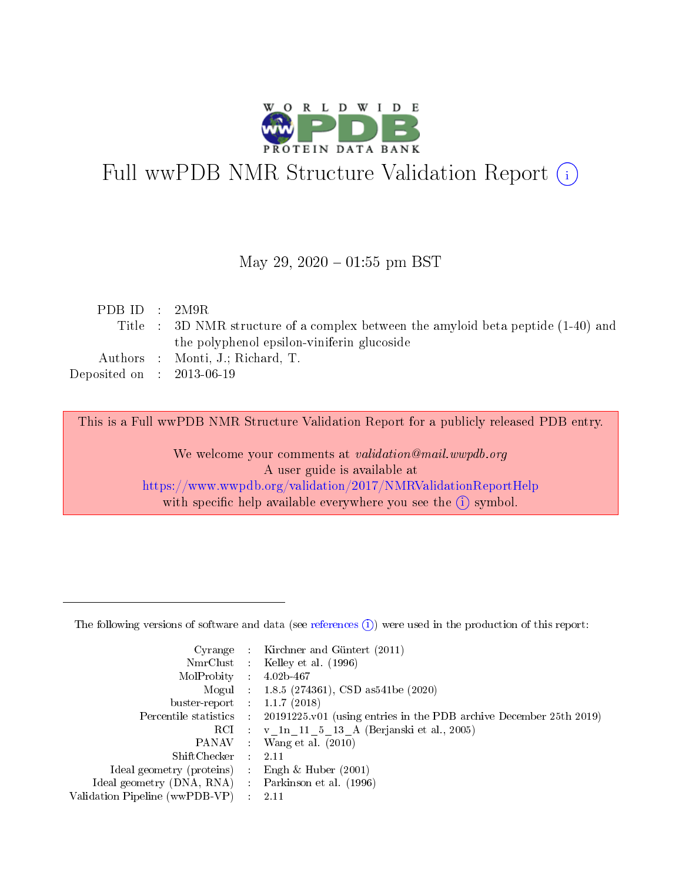

# Full wwPDB NMR Structure Validation Report (i)

### May 29,  $2020 - 01:55$  pm BST

| PDB ID : $2M9R$             |                                                                                   |
|-----------------------------|-----------------------------------------------------------------------------------|
|                             | Title : 3D NMR structure of a complex between the amyloid beta peptide (1-40) and |
|                             | the polyphenol epsilon-viniferin glucoside                                        |
|                             | Authors : Monti, J.; Richard, T.                                                  |
| Deposited on : $2013-06-19$ |                                                                                   |
|                             |                                                                                   |

This is a Full wwPDB NMR Structure Validation Report for a publicly released PDB entry.

We welcome your comments at *validation@mail.wwpdb.org* A user guide is available at <https://www.wwpdb.org/validation/2017/NMRValidationReportHelp> with specific help available everywhere you see the  $(i)$  symbol.

The following versions of software and data (see [references](https://www.wwpdb.org/validation/2017/NMRValidationReportHelp#references)  $(i)$ ) were used in the production of this report:

|                                                   |                             | Cyrange : Kirchner and Güntert (2011)                              |
|---------------------------------------------------|-----------------------------|--------------------------------------------------------------------|
|                                                   |                             | NmrClust : Kelley et al. (1996)                                    |
| MolProbity :                                      |                             | $4.02b - 467$                                                      |
|                                                   |                             | Mogul : 1.8.5 (274361), CSD as 541 be (2020)                       |
| buster-report : $1.1.7$ (2018)                    |                             |                                                                    |
| Percentile statistics :                           |                             | 20191225 v01 (using entries in the PDB archive December 25th 2019) |
|                                                   |                             | RCI : v 1n 11 5 13 A (Berjanski et al., 2005)                      |
|                                                   |                             | PANAV : Wang et al. (2010)                                         |
| $ShiftChecker$ :                                  |                             | -2.11                                                              |
| Ideal geometry (proteins)                         |                             | Engh & Huber $(2001)$                                              |
| Ideal geometry (DNA, RNA) Parkinson et al. (1996) |                             |                                                                    |
| Validation Pipeline (wwPDB-VP)                    | $\mathcal{L}_{\mathcal{L}}$ | 2.11                                                               |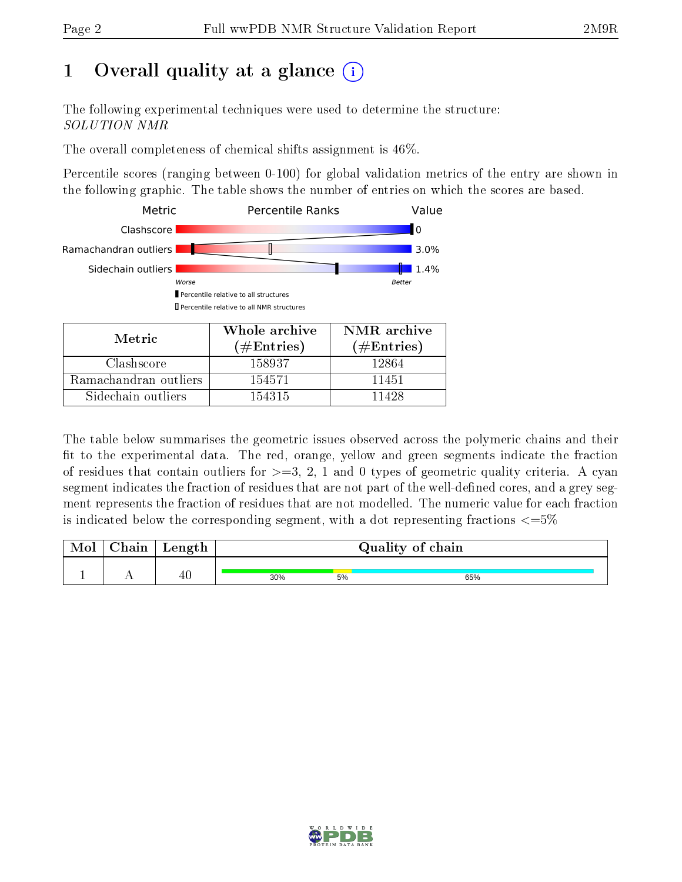## 1 [O](https://www.wwpdb.org/validation/2017/NMRValidationReportHelp#overall_quality)verall quality at a glance (i)

The following experimental techniques were used to determine the structure: SOLUTION NMR

The overall completeness of chemical shifts assignment is 46%.

Percentile scores (ranging between 0-100) for global validation metrics of the entry are shown in the following graphic. The table shows the number of entries on which the scores are based.



The table below summarises the geometric issues observed across the polymeric chains and their fit to the experimental data. The red, orange, yellow and green segments indicate the fraction of residues that contain outliers for  $>=3, 2, 1$  and 0 types of geometric quality criteria. A cyan segment indicates the fraction of residues that are not part of the well-defined cores, and a grey segment represents the fraction of residues that are not modelled. The numeric value for each fraction is indicated below the corresponding segment, with a dot representing fractions  $\epsilon = 5\%$ 

| Mol | ${\bf Chain}$ | Length | Quality of chain |    |     |  |
|-----|---------------|--------|------------------|----|-----|--|
|     |               |        |                  |    |     |  |
|     |               | 40     | 30%              | 5% | 65% |  |

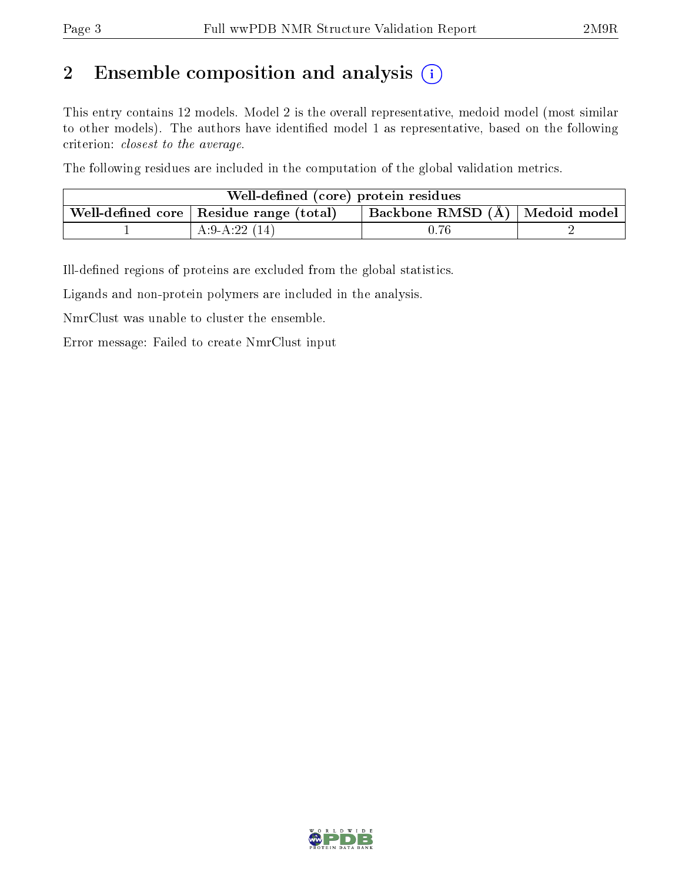## 2 Ensemble composition and analysis  $(i)$

This entry contains 12 models. Model 2 is the overall representative, medoid model (most similar to other models). The authors have identified model 1 as representative, based on the following criterion: closest to the average.

The following residues are included in the computation of the global validation metrics.

| Well-defined (core) protein residues                                                            |                 |      |  |  |  |
|-------------------------------------------------------------------------------------------------|-----------------|------|--|--|--|
| Backbone RMSD $(A)$   Medoid model  <br>. Well-defined core $\mid$ Residue range (total) $\mid$ |                 |      |  |  |  |
|                                                                                                 | A:9-A:22 $(14)$ | 0.76 |  |  |  |

Ill-defined regions of proteins are excluded from the global statistics.

Ligands and non-protein polymers are included in the analysis.

NmrClust was unable to cluster the ensemble.

Error message: Failed to create NmrClust input

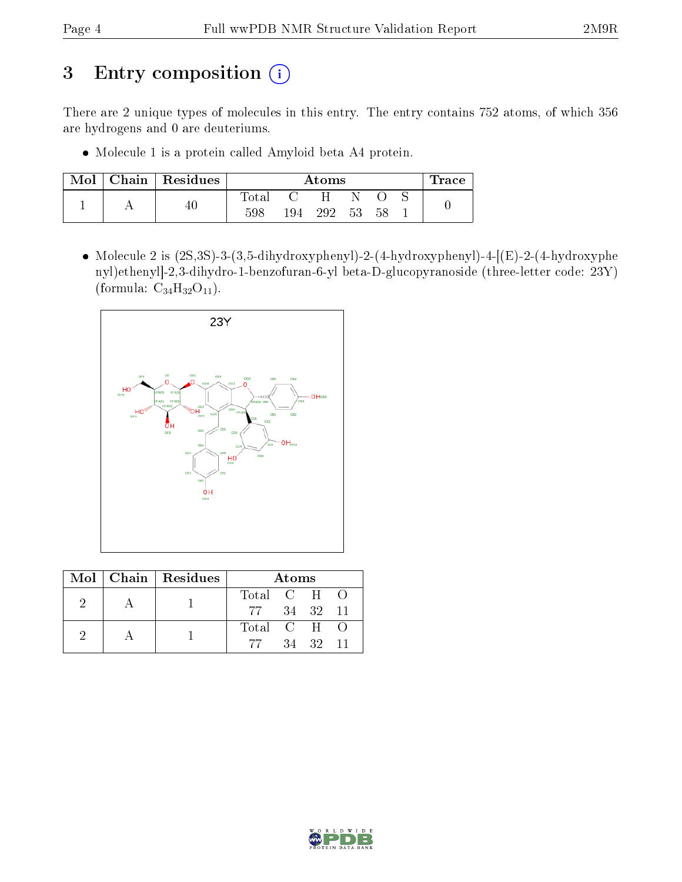## 3 Entry composition (i)

There are 2 unique types of molecules in this entry. The entry contains 752 atoms, of which 356 are hydrogens and 0 are deuteriums.

Molecule 1 is a protein called Amyloid beta A4 protein.

| Mol | Chain   Residues | $\rm{Atoms}$ |     |     |    | $\operatorname{Trace}$ |  |  |
|-----|------------------|--------------|-----|-----|----|------------------------|--|--|
|     |                  | Fotal        |     | н   |    |                        |  |  |
|     |                  | 598          | 194 | 292 | 53 | 58                     |  |  |

• Molecule 2 is  $(2S,3S)$ -3- $(3,5$ -dihydroxyphenyl)-2- $(4$ -hydroxyphenyl)-4- $[(E)$ -2- $(4)$ -hydroxyphenyl nyl)ethenyl]-2,3-dihydro-1-benzofuran-6-yl beta-D-glucopyranoside (three-letter code: 23Y) (formula:  $C_{34}H_{32}O_{11}$ ).



|  | Mol   Chain   Residues |                          | Atoms |       |    |
|--|------------------------|--------------------------|-------|-------|----|
|  |                        | Total C H O              |       |       |    |
|  |                        | 77 34 32 11              |       |       |    |
|  |                        | Total C H $\overline{O}$ |       |       |    |
|  |                        | -77                      |       | 34 32 | 11 |

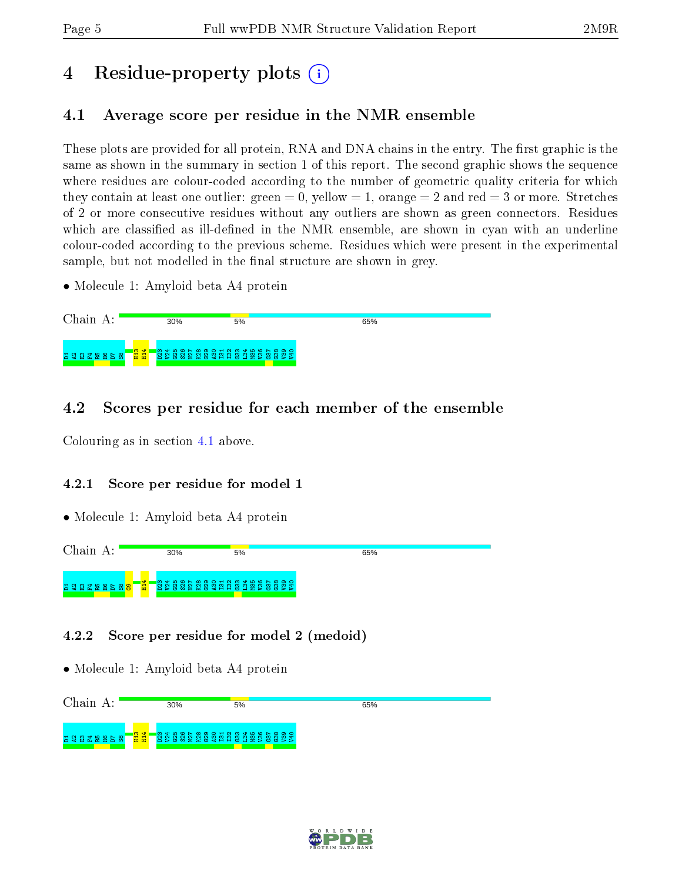## 4 Residue-property plots  $\binom{1}{1}$

## <span id="page-4-0"></span>4.1 Average score per residue in the NMR ensemble

These plots are provided for all protein, RNA and DNA chains in the entry. The first graphic is the same as shown in the summary in section 1 of this report. The second graphic shows the sequence where residues are colour-coded according to the number of geometric quality criteria for which they contain at least one outlier: green  $= 0$ , yellow  $= 1$ , orange  $= 2$  and red  $= 3$  or more. Stretches of 2 or more consecutive residues without any outliers are shown as green connectors. Residues which are classified as ill-defined in the NMR ensemble, are shown in cyan with an underline colour-coded according to the previous scheme. Residues which were present in the experimental sample, but not modelled in the final structure are shown in grey.

• Molecule 1: Amyloid beta A4 protein



## 4.2 Scores per residue for each member of the ensemble

Colouring as in section [4.1](#page-4-0) above.

### 4.2.1 Score per residue for model 1

• Molecule 1: Amyloid beta A4 protein



### 4.2.2 Score per residue for model 2 (medoid)

• Molecule 1: Amyloid beta A4 protein



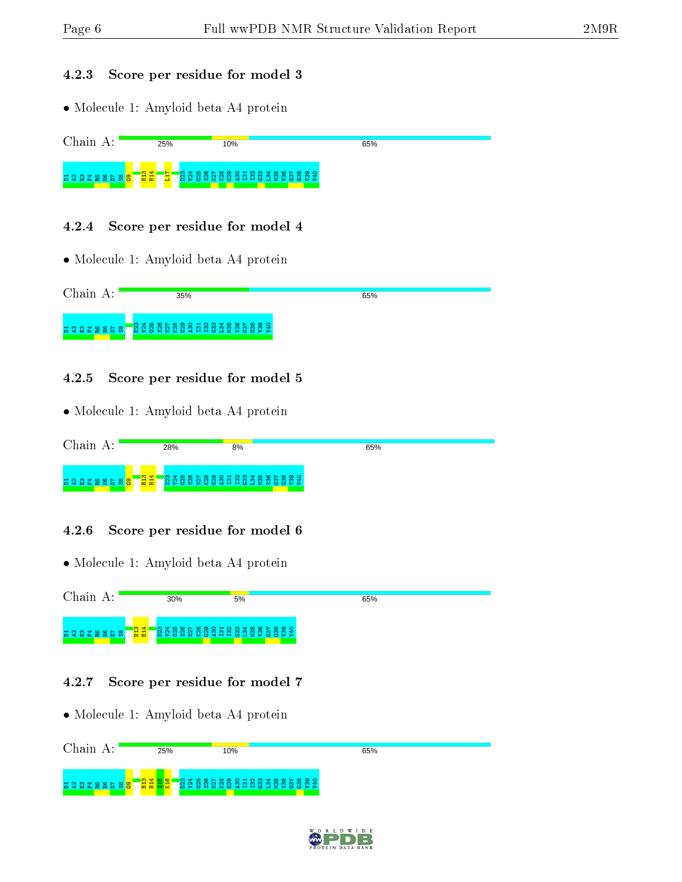#### 4.2.3 Score per residue for model 3

• Molecule 1: Amyloid beta A4 protein

| Chain<br>$\mathbf{A}$ : | 25%                   | 10% | 65% |  |
|-------------------------|-----------------------|-----|-----|--|
|                         | <mark>-용결</mark><br>- |     |     |  |

### 4.2.4 Score per residue for model 4

• Molecule 1: Amyloid beta A4 protein

| Chain A:<br>35% |
|-----------------|
|                 |

### 4.2.5 Score per residue for model 5

• Molecule 1: Amyloid beta A4 protein

| $^\circ$ hain                  | 28%                                     | 8%                               | 65% |  |
|--------------------------------|-----------------------------------------|----------------------------------|-----|--|
| 품 알 얇<br>ு உ<br>œ<br>n to to l | 12 Z<br>ണ<br>$\infty$<br>െ<br>ா<br>- 55 | OHNMTLONDOQ<br>്ന<br>_ന<br>- - - |     |  |

### 4.2.6 Score per residue for model 6

• Molecule 1: Amyloid beta A4 protein



### 4.2.7 Score per residue for model 7

• Molecule 1: Amyloid beta A4 protein Chain A: 25% 10% 65%  $\frac{2}{11}$  $\frac{14}{114}$  $\frac{16}{15}$  $\frac{16}{2}$ D23 V24 G25 S26 N27 K28 G29 A30 I31 I32 G33 L34 M35 V36 G37 G38 V39 V405 2 3 3 3 4 5 9 6 7 8 <mark>9</mark>

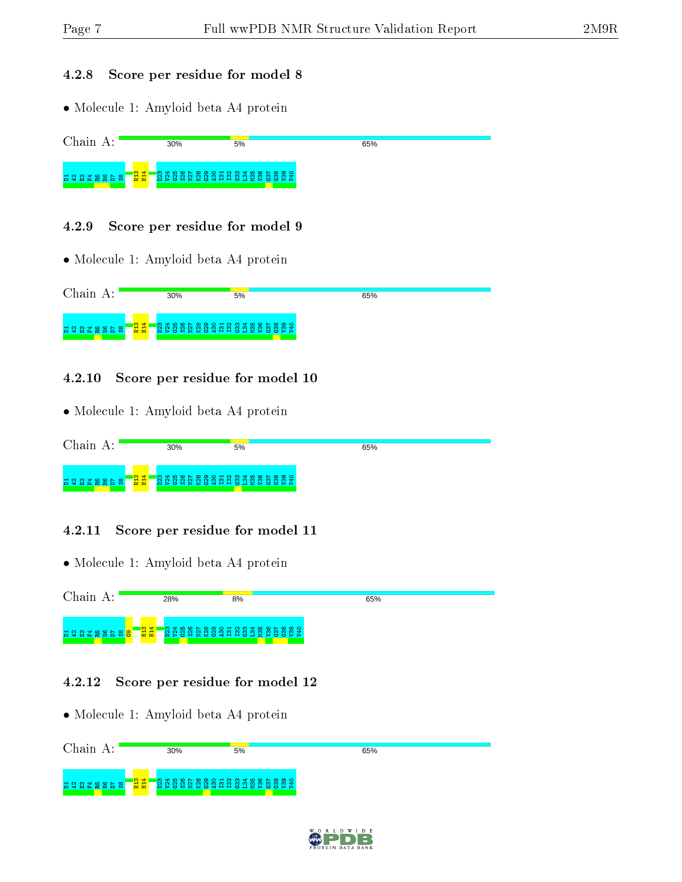#### 4.2.8 Score per residue for model 8

• Molecule 1: Amyloid beta A4 protein



| Chain<br>А: |                                         | 30%                                                   | 5% | 65% |
|-------------|-----------------------------------------|-------------------------------------------------------|----|-----|
| 828288888   | $\begin{array}{c} 24 \\ 24 \end{array}$ | <b>ន្ត្រី ដូន</b> និង និង និង ដូន ដូន និង និង និង និង |    |     |

### 4.2.10 Score per residue for model 10

• Molecule 1: Amyloid beta A4 protein

| Chain          |           | 30% | 5%                         | 65% |  |
|----------------|-----------|-----|----------------------------|-----|--|
| E 28 THE B 5 S | <b>日号</b> |     | <b>BRASSESSEE BESSESSE</b> |     |  |

### 4.2.11 Score per residue for model 11

• Molecule 1: Amyloid beta A4 protein



#### 4.2.12 Score per residue for model 12

• Molecule 1: Amyloid beta A4 protein Chain A: 30% 5% 65%  $\frac{2}{n}$ ន ន្នំ ន្ល ន្ទ ន្ទ ន្ទ ន្ទ ន្ទ ន្ទ ន្ទ ន្ទ ន្ទ ន B 3 R X X X X 8 D 8 |

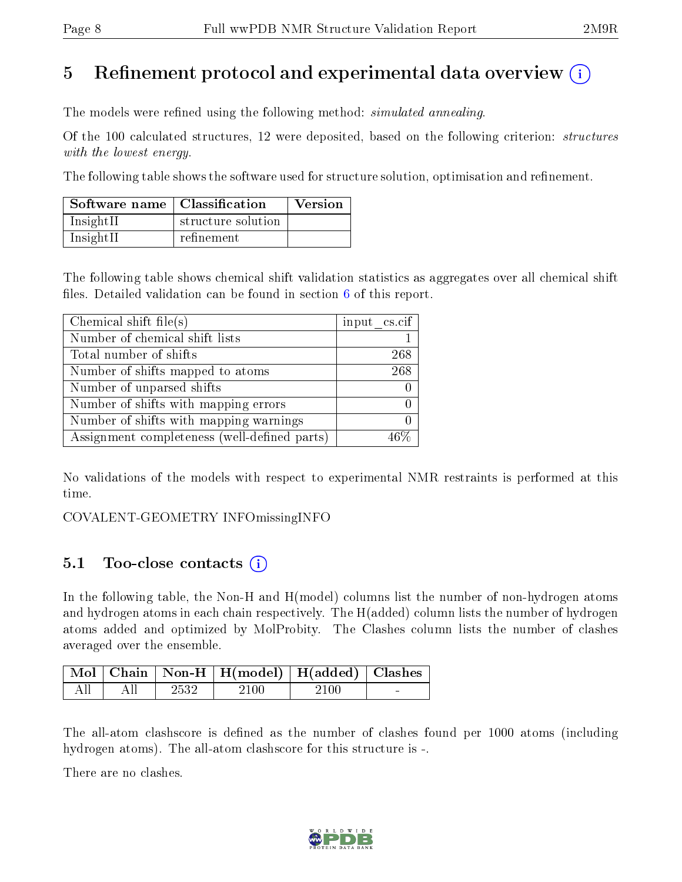## 5 Refinement protocol and experimental data overview  $\binom{1}{k}$

The models were refined using the following method: *simulated annealing*.

Of the 100 calculated structures, 12 were deposited, based on the following criterion: structures with the lowest energy.

The following table shows the software used for structure solution, optimisation and refinement.

| Software name   Classification |                    | <b>Version</b> |
|--------------------------------|--------------------|----------------|
| InsightII                      | structure solution |                |
| InsightII                      | refinement         |                |

The following table shows chemical shift validation statistics as aggregates over all chemical shift files. Detailed validation can be found in section  $6$  of this report.

| Chemical shift file(s)                       | input cs.cif |
|----------------------------------------------|--------------|
| Number of chemical shift lists               |              |
| Total number of shifts                       | 268          |
| Number of shifts mapped to atoms             | 268          |
| Number of unparsed shifts                    |              |
| Number of shifts with mapping errors         |              |
| Number of shifts with mapping warnings       |              |
| Assignment completeness (well-defined parts) |              |

No validations of the models with respect to experimental NMR restraints is performed at this time.

COVALENT-GEOMETRY INFOmissingINFO

### 5.1 Too-close contacts (i)

In the following table, the Non-H and H(model) columns list the number of non-hydrogen atoms and hydrogen atoms in each chain respectively. The H(added) column lists the number of hydrogen atoms added and optimized by MolProbity. The Clashes column lists the number of clashes averaged over the ensemble.

|           |       | Mol   Chain   Non-H   H(model)   H(added)   Clashes |       |        |
|-----------|-------|-----------------------------------------------------|-------|--------|
| All   All | -2532 | 2100                                                | -2100 | $\sim$ |

The all-atom clashscore is defined as the number of clashes found per 1000 atoms (including hydrogen atoms). The all-atom clashscore for this structure is -.

There are no clashes.

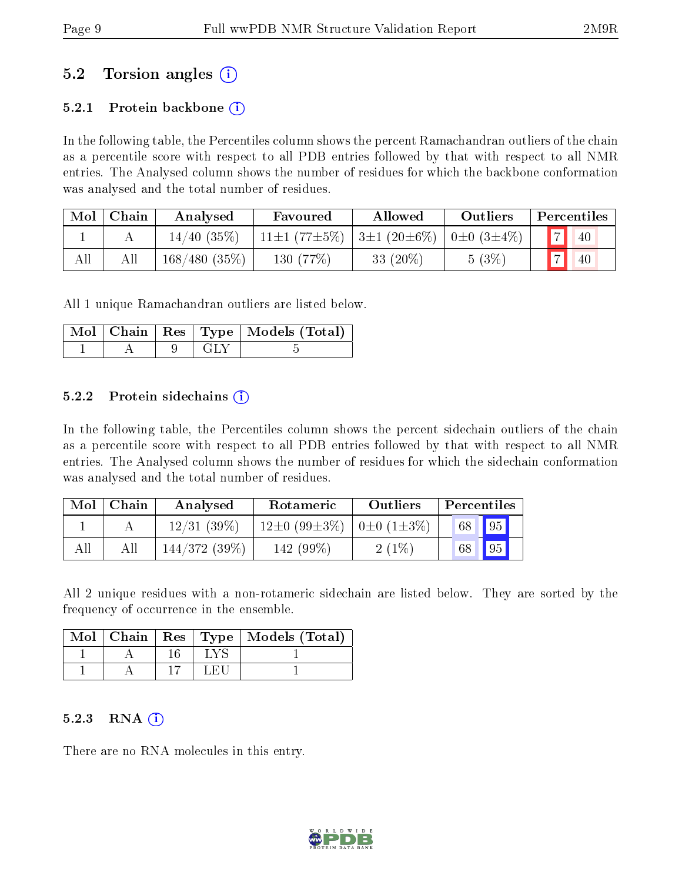## 5.2 Torsion angles (i)

### 5.2.1 Protein backbone  $(i)$

In the following table, the Percentiles column shows the percent Ramachandran outliers of the chain as a percentile score with respect to all PDB entries followed by that with respect to all NMR entries. The Analysed column shows the number of residues for which the backbone conformation was analysed and the total number of residues.

| Mol | Chain | Analysed        | Favoured                 | Allowed                             | Outliers |                | Percentiles |
|-----|-------|-----------------|--------------------------|-------------------------------------|----------|----------------|-------------|
|     |       | 14/40(35%)      | 11 $\pm$ 1 (77 $\pm$ 5%) | $3\pm1(20\pm6\%)$ 0 $\pm0(3\pm4\%)$ |          | $\blacksquare$ | 40          |
| All | All   | $168/480(35\%)$ | 130 (77\%)               | 33 $(20\%)$                         | 5(3%     |                | 40          |

All 1 unique Ramachandran outliers are listed below.

|  |        | Mol   Chain   Res   Type   Models (Total) |
|--|--------|-------------------------------------------|
|  | - 64 - |                                           |

### 5.2.2 Protein sidechains  $\hat{1}$

In the following table, the Percentiles column shows the percent sidechain outliers of the chain as a percentile score with respect to all PDB entries followed by that with respect to all NMR entries. The Analysed column shows the number of residues for which the sidechain conformation was analysed and the total number of residues.

| Mol | Chain | Analysed     | Rotameric                                        | Outliers | Percentiles |             |
|-----|-------|--------------|--------------------------------------------------|----------|-------------|-------------|
|     |       | 12/31(39%)   | $12\pm0$ (99 $\pm3\%$ )   0 $\pm0$ (1 $\pm3\%$ ) |          | 68 95       |             |
| All | All   | 144/372(39%) | $142(99\%)$                                      | $2(1\%)$ | 68          | $\sqrt{95}$ |

All 2 unique residues with a non-rotameric sidechain are listed below. They are sorted by the frequency of occurrence in the ensemble.

|  |      | Mol   Chain   Res   Type   Models (Total) |
|--|------|-------------------------------------------|
|  | T.YS |                                           |
|  | LEH  |                                           |

### $5.2.3$  RNA  $(i)$

There are no RNA molecules in this entry.

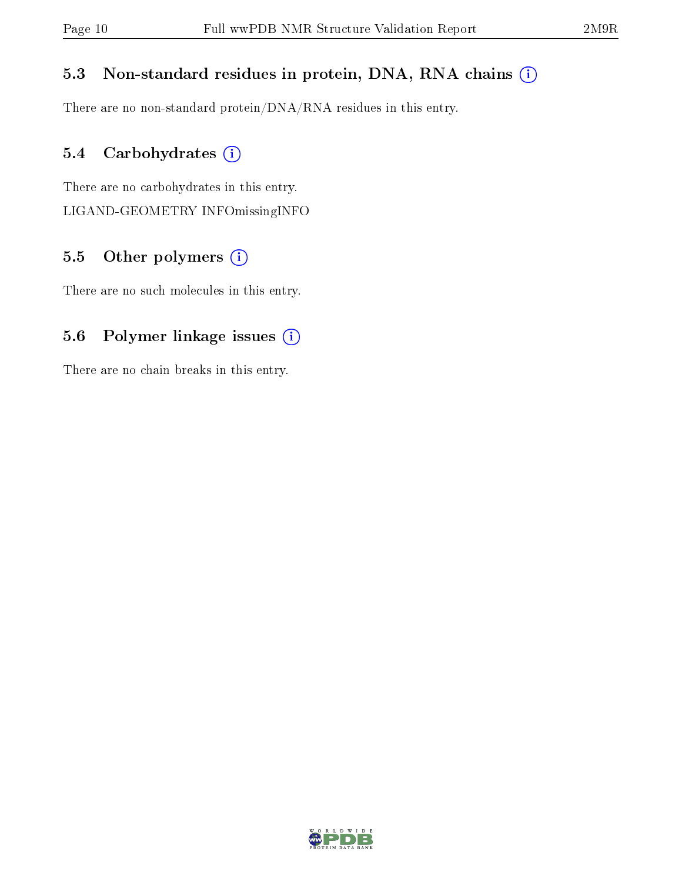### 5.3 Non-standard residues in protein, DNA, RNA chains (i)

There are no non-standard protein/DNA/RNA residues in this entry.

### 5.4 Carbohydrates (i)

There are no carbohydrates in this entry. LIGAND-GEOMETRY INFOmissingINFO

## 5.5 [O](https://www.wwpdb.org/validation/2017/NMRValidationReportHelp#nonstandard_residues_and_ligands)ther polymers  $(i)$

There are no such molecules in this entry.

## 5.6 Polymer linkage issues (i)

There are no chain breaks in this entry.

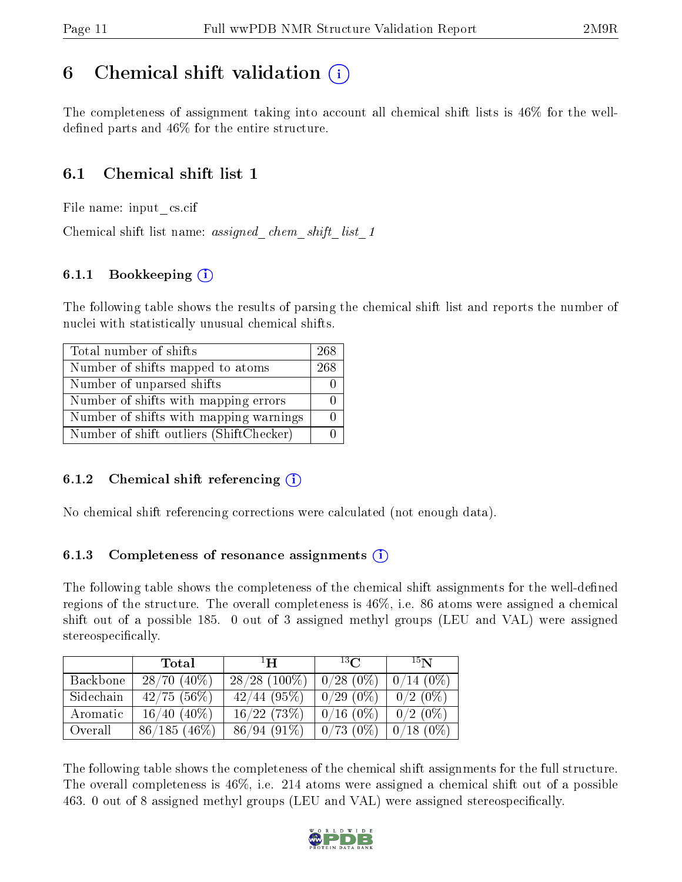## <span id="page-10-0"></span>6 Chemical shift validation  $\binom{1}{k}$

The completeness of assignment taking into account all chemical shift lists is 46% for the welldefined parts and  $46\%$  for the entire structure.

### 6.1 Chemical shift list 1

File name: input\_cs.cif

Chemical shift list name: assigned chem shift list 1

### 6.1.1 Bookkeeping (i)

The following table shows the results of parsing the chemical shift list and reports the number of nuclei with statistically unusual chemical shifts.

| Total number of shifts                  | 268 |
|-----------------------------------------|-----|
| Number of shifts mapped to atoms        | 268 |
| Number of unparsed shifts               |     |
| Number of shifts with mapping errors    |     |
| Number of shifts with mapping warnings  |     |
| Number of shift outliers (ShiftChecker) |     |

### 6.1.2 Chemical shift referencing  $(i)$

No chemical shift referencing corrections were calculated (not enough data).

### 6.1.3 Completeness of resonance assignments  $(i)$

The following table shows the completeness of the chemical shift assignments for the well-defined regions of the structure. The overall completeness is 46%, i.e. 86 atoms were assigned a chemical shift out of a possible 185. 0 out of 3 assigned methyl groups (LEU and VAL) were assigned stereospecifically.

|           | <b>Total</b>     | $\mathbf{H}$    | $^{13}$ C   | $15\mathbf{N}$ |
|-----------|------------------|-----------------|-------------|----------------|
| Backbone  | $28/70(40\%)$    | $28/28$ (100\%) | $0/28(0\%)$ | $0/14(0\%)$    |
| Sidechain | $42/75(56\%)$    | $42/44$ (95%)   | $0/29(0\%)$ | $0/2$ (0\%)    |
| Aromatic  | $16/40$ $(40\%)$ | 16/22(73%)      | $0/16(0\%)$ | $0/2$ (0\%)    |
| Overall   | $86/185(46\%)$   | $86/94(91\%)$   | $0/73(0\%)$ | $0/18(0\%)$    |

The following table shows the completeness of the chemical shift assignments for the full structure. The overall completeness is 46%, i.e. 214 atoms were assigned a chemical shift out of a possible 463. 0 out of 8 assigned methyl groups (LEU and VAL) were assigned stereospecifically.